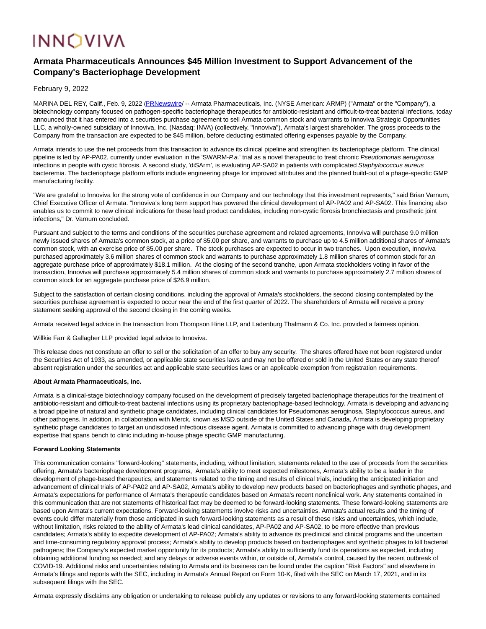# **INNOVIVA**

## **Armata Pharmaceuticals Announces \$45 Million Investment to Support Advancement of the Company's Bacteriophage Development**

February 9, 2022

MARINA DEL REY, Calif., Feb. 9, 2022 [/PRNewswire/](http://www.prnewswire.com/) -- Armata Pharmaceuticals, Inc. (NYSE American: ARMP) ("Armata" or the "Company"), a biotechnology company focused on pathogen-specific bacteriophage therapeutics for antibiotic-resistant and difficult-to-treat bacterial infections, today announced that it has entered into a securities purchase agreement to sell Armata common stock and warrants to Innoviva Strategic Opportunities LLC, a wholly-owned subsidiary of Innoviva, Inc. (Nasdaq: INVA) (collectively, "Innoviva"), Armata's largest shareholder. The gross proceeds to the Company from the transaction are expected to be \$45 million, before deducting estimated offering expenses payable by the Company.

Armata intends to use the net proceeds from this transaction to advance its clinical pipeline and strengthen its bacteriophage platform. The clinical pipeline is led by AP-PA02, currently under evaluation in the 'SWARM-P.a.' trial as a novel therapeutic to treat chronic Pseudomonas aeruginosa infections in people with cystic fibrosis. A second study, 'diSArm', is evaluating AP-SA02 in patients with complicated Staphylococcus aureus bacteremia. The bacteriophage platform efforts include engineering phage for improved attributes and the planned build-out of a phage-specific GMP manufacturing facility.

"We are grateful to Innoviva for the strong vote of confidence in our Company and our technology that this investment represents," said Brian Varnum, Chief Executive Officer of Armata. "Innoviva's long term support has powered the clinical development of AP-PA02 and AP-SA02. This financing also enables us to commit to new clinical indications for these lead product candidates, including non-cystic fibrosis bronchiectasis and prosthetic joint infections," Dr. Varnum concluded.

Pursuant and subject to the terms and conditions of the securities purchase agreement and related agreements, Innoviva will purchase 9.0 million newly issued shares of Armata's common stock, at a price of \$5.00 per share, and warrants to purchase up to 4.5 million additional shares of Armata's common stock, with an exercise price of \$5.00 per share. The stock purchases are expected to occur in two tranches. Upon execution, Innoviva purchased approximately 3.6 million shares of common stock and warrants to purchase approximately 1.8 million shares of common stock for an aggregate purchase price of approximately \$18.1 million. At the closing of the second tranche, upon Armata stockholders voting in favor of the transaction, Innoviva will purchase approximately 5.4 million shares of common stock and warrants to purchase approximately 2.7 million shares of common stock for an aggregate purchase price of \$26.9 million.

Subject to the satisfaction of certain closing conditions, including the approval of Armata's stockholders, the second closing contemplated by the securities purchase agreement is expected to occur near the end of the first quarter of 2022. The shareholders of Armata will receive a proxy statement seeking approval of the second closing in the coming weeks.

Armata received legal advice in the transaction from Thompson Hine LLP, and Ladenburg Thalmann & Co. Inc. provided a fairness opinion.

Willkie Farr & Gallagher LLP provided legal advice to Innoviva.

This release does not constitute an offer to sell or the solicitation of an offer to buy any security. The shares offered have not been registered under the Securities Act of 1933, as amended, or applicable state securities laws and may not be offered or sold in the United States or any state thereof absent registration under the securities act and applicable state securities laws or an applicable exemption from registration requirements.

#### **About Armata Pharmaceuticals, Inc.**

Armata is a clinical-stage biotechnology company focused on the development of precisely targeted bacteriophage therapeutics for the treatment of antibiotic-resistant and difficult-to-treat bacterial infections using its proprietary bacteriophage-based technology. Armata is developing and advancing a broad pipeline of natural and synthetic phage candidates, including clinical candidates for Pseudomonas aeruginosa, Staphylococcus aureus, and other pathogens. In addition, in collaboration with Merck, known as MSD outside of the United States and Canada, Armata is developing proprietary synthetic phage candidates to target an undisclosed infectious disease agent. Armata is committed to advancing phage with drug development expertise that spans bench to clinic including in-house phage specific GMP manufacturing.

#### **Forward Looking Statements**

This communication contains "forward-looking" statements, including, without limitation, statements related to the use of proceeds from the securities offering, Armata's bacteriophage development programs, Armata's ability to meet expected milestones, Armata's ability to be a leader in the development of phage-based therapeutics, and statements related to the timing and results of clinical trials, including the anticipated initiation and advancement of clinical trials of AP-PA02 and AP-SA02, Armata's ability to develop new products based on bacteriophages and synthetic phages, and Armata's expectations for performance of Armata's therapeutic candidates based on Armata's recent nonclinical work. Any statements contained in this communication that are not statements of historical fact may be deemed to be forward-looking statements. These forward-looking statements are based upon Armata's current expectations. Forward-looking statements involve risks and uncertainties. Armata's actual results and the timing of events could differ materially from those anticipated in such forward-looking statements as a result of these risks and uncertainties, which include, without limitation, risks related to the ability of Armata's lead clinical candidates, AP-PA02 and AP-SA02, to be more effective than previous candidates; Armata's ability to expedite development of AP-PA02; Armata's ability to advance its preclinical and clinical programs and the uncertain and time-consuming regulatory approval process; Armata's ability to develop products based on bacteriophages and synthetic phages to kill bacterial pathogens; the Company's expected market opportunity for its products; Armata's ability to sufficiently fund its operations as expected, including obtaining additional funding as needed; and any delays or adverse events within, or outside of, Armata's control, caused by the recent outbreak of COVID-19. Additional risks and uncertainties relating to Armata and its business can be found under the caption "Risk Factors" and elsewhere in Armata's filings and reports with the SEC, including in Armata's Annual Report on Form 10-K, filed with the SEC on March 17, 2021, and in its subsequent filings with the SEC.

Armata expressly disclaims any obligation or undertaking to release publicly any updates or revisions to any forward-looking statements contained